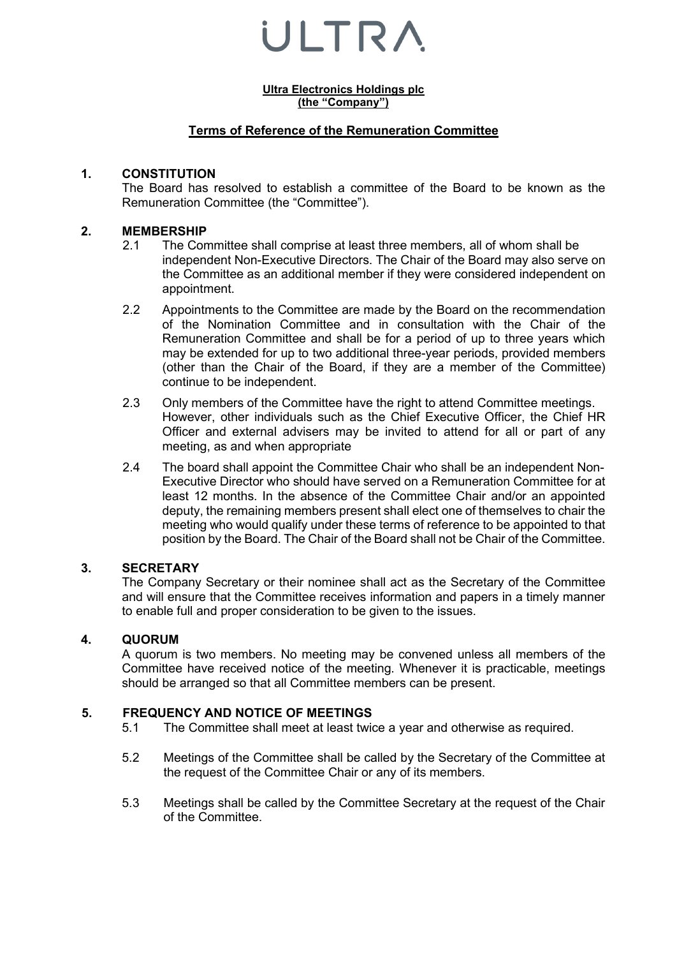**Ultra Electronics Holdings plc (the "Company")**

## **Terms of Reference of the Remuneration Committee**

#### **1. CONSTITUTION**

The Board has resolved to establish a committee of the Board to be known as the Remuneration Committee (the "Committee").

## **2. MEMBERSHIP**

- 2.1 The Committee shall comprise at least three members, all of whom shall be independent Non-Executive Directors. The Chair of the Board may also serve on the Committee as an additional member if they were considered independent on appointment.
- 2.2 Appointments to the Committee are made by the Board on the recommendation of the Nomination Committee and in consultation with the Chair of the Remuneration Committee and shall be for a period of up to three years which may be extended for up to two additional three-year periods, provided members (other than the Chair of the Board, if they are a member of the Committee) continue to be independent.
- 2.3 Only members of the Committee have the right to attend Committee meetings. However, other individuals such as the Chief Executive Officer, the Chief HR Officer and external advisers may be invited to attend for all or part of any meeting, as and when appropriate
- 2.4 The board shall appoint the Committee Chair who shall be an independent Non-Executive Director who should have served on a Remuneration Committee for at least 12 months. In the absence of the Committee Chair and/or an appointed deputy, the remaining members present shall elect one of themselves to chair the meeting who would qualify under these terms of reference to be appointed to that position by the Board. The Chair of the Board shall not be Chair of the Committee.

#### **3. SECRETARY**

The Company Secretary or their nominee shall act as the Secretary of the Committee and will ensure that the Committee receives information and papers in a timely manner to enable full and proper consideration to be given to the issues.

#### **4. QUORUM**

A quorum is two members. No meeting may be convened unless all members of the Committee have received notice of the meeting. Whenever it is practicable, meetings should be arranged so that all Committee members can be present.

## **5. FREQUENCY AND NOTICE OF MEETINGS**

- The Committee shall meet at least twice a year and otherwise as required.
- 5.2 Meetings of the Committee shall be called by the Secretary of the Committee at the request of the Committee Chair or any of its members.
- 5.3 Meetings shall be called by the Committee Secretary at the request of the Chair of the Committee.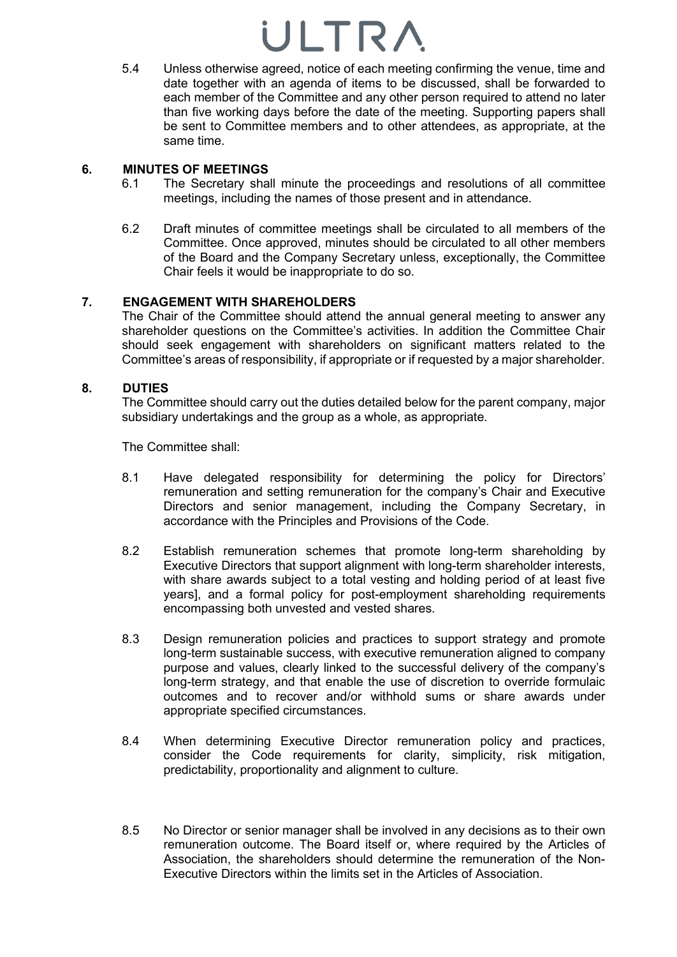5.4 Unless otherwise agreed, notice of each meeting confirming the venue, time and date together with an agenda of items to be discussed, shall be forwarded to each member of the Committee and any other person required to attend no later than five working days before the date of the meeting. Supporting papers shall be sent to Committee members and to other attendees, as appropriate, at the same time.

## **6. MINUTES OF MEETINGS**

- The Secretary shall minute the proceedings and resolutions of all committee meetings, including the names of those present and in attendance.
- 6.2 Draft minutes of committee meetings shall be circulated to all members of the Committee. Once approved, minutes should be circulated to all other members of the Board and the Company Secretary unless, exceptionally, the Committee Chair feels it would be inappropriate to do so.

## **7. ENGAGEMENT WITH SHAREHOLDERS**

The Chair of the Committee should attend the annual general meeting to answer any shareholder questions on the Committee's activities. In addition the Committee Chair should seek engagement with shareholders on significant matters related to the Committee's areas of responsibility, if appropriate or if requested by a major shareholder.

## **8. DUTIES**

The Committee should carry out the duties detailed below for the parent company, major subsidiary undertakings and the group as a whole, as appropriate.

The Committee shall:

- 8.1 Have delegated responsibility for determining the policy for Directors' remuneration and setting remuneration for the company's Chair and Executive Directors and senior management, including the Company Secretary, in accordance with the Principles and Provisions of the Code.
- 8.2 Establish remuneration schemes that promote long-term shareholding by Executive Directors that support alignment with long-term shareholder interests, with share awards subject to a total vesting and holding period of at least five years], and a formal policy for post-employment shareholding requirements encompassing both unvested and vested shares.
- 8.3 Design remuneration policies and practices to support strategy and promote long-term sustainable success, with executive remuneration aligned to company purpose and values, clearly linked to the successful delivery of the company's long-term strategy, and that enable the use of discretion to override formulaic outcomes and to recover and/or withhold sums or share awards under appropriate specified circumstances.
- 8.4 When determining Executive Director remuneration policy and practices, consider the Code requirements for clarity, simplicity, risk mitigation, predictability, proportionality and alignment to culture.
- 8.5 No Director or senior manager shall be involved in any decisions as to their own remuneration outcome. The Board itself or, where required by the Articles of Association, the shareholders should determine the remuneration of the Non-Executive Directors within the limits set in the Articles of Association.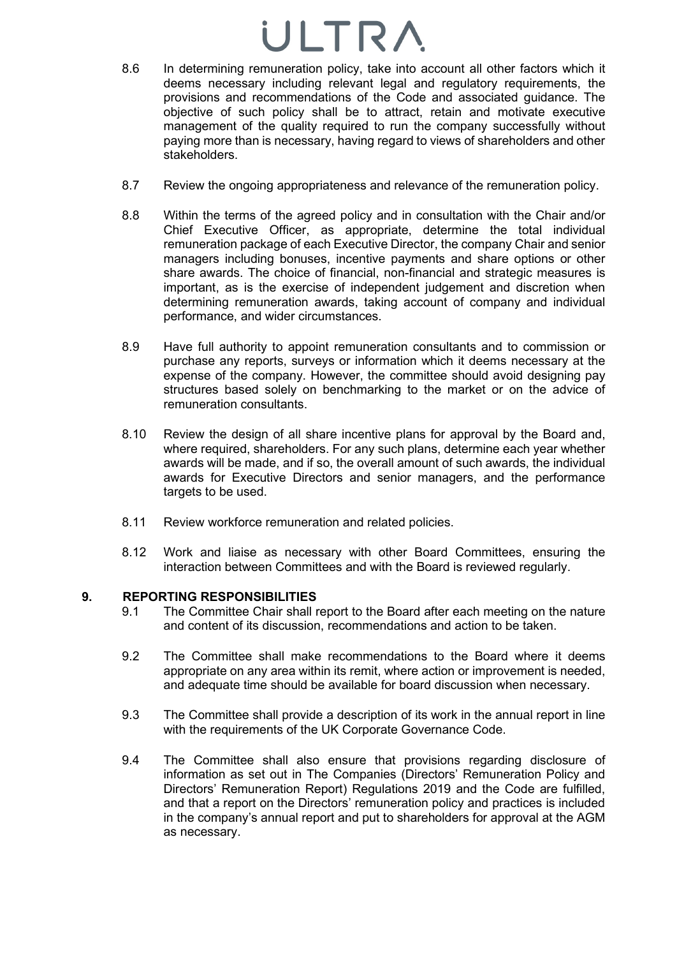- 8.6 In determining remuneration policy, take into account all other factors which it deems necessary including relevant legal and regulatory requirements, the provisions and recommendations of the Code and associated guidance. The objective of such policy shall be to attract, retain and motivate executive management of the quality required to run the company successfully without paying more than is necessary, having regard to views of shareholders and other stakeholders.
- 8.7 Review the ongoing appropriateness and relevance of the remuneration policy.
- 8.8 Within the terms of the agreed policy and in consultation with the Chair and/or Chief Executive Officer, as appropriate, determine the total individual remuneration package of each Executive Director, the company Chair and senior managers including bonuses, incentive payments and share options or other share awards. The choice of financial, non-financial and strategic measures is important, as is the exercise of independent judgement and discretion when determining remuneration awards, taking account of company and individual performance, and wider circumstances.
- 8.9 Have full authority to appoint remuneration consultants and to commission or purchase any reports, surveys or information which it deems necessary at the expense of the company. However, the committee should avoid designing pay structures based solely on benchmarking to the market or on the advice of remuneration consultants.
- 8.10 Review the design of all share incentive plans for approval by the Board and, where required, shareholders. For any such plans, determine each year whether awards will be made, and if so, the overall amount of such awards, the individual awards for Executive Directors and senior managers, and the performance targets to be used.
- 8.11 Review workforce remuneration and related policies.
- 8.12 Work and liaise as necessary with other Board Committees, ensuring the interaction between Committees and with the Board is reviewed regularly.

## **9. REPORTING RESPONSIBILITIES**

- 9.1 The Committee Chair shall report to the Board after each meeting on the nature and content of its discussion, recommendations and action to be taken.
- 9.2 The Committee shall make recommendations to the Board where it deems appropriate on any area within its remit, where action or improvement is needed, and adequate time should be available for board discussion when necessary.
- 9.3 The Committee shall provide a description of its work in the annual report in line with the requirements of the UK Corporate Governance Code.
- 9.4 The Committee shall also ensure that provisions regarding disclosure of information as set out in The Companies (Directors' Remuneration Policy and Directors' Remuneration Report) Regulations 2019 and the Code are fulfilled, and that a report on the Directors' remuneration policy and practices is included in the company's annual report and put to shareholders for approval at the AGM as necessary.